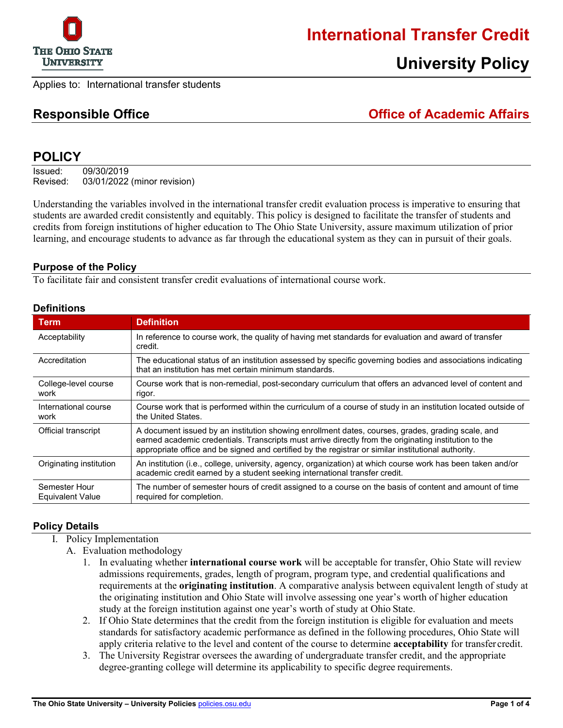

## **International Transfer Credit**

# **University Policy**

Applies to: International transfer students

**Responsible Office Office of Academic Affairs**

## **POLICY**

Issued: 09/30/2019 Revised: 03/01/2022 (minor revision)

Understanding the variables involved in the international transfer credit evaluation process is imperative to ensuring that students are awarded credit consistently and equitably. This policy is designed to facilitate the transfer of students and credits from foreign institutions of higher education to The Ohio State University, assure maximum utilization of prior learning, and encourage students to advance as far through the educational system as they can in pursuit of their goals.

### **Purpose of the Policy**

To facilitate fair and consistent transfer credit evaluations of international course work.

#### **Definitions**

| <b>Term</b>                              | <b>Definition</b>                                                                                                                                                                                                                                                                                                 |
|------------------------------------------|-------------------------------------------------------------------------------------------------------------------------------------------------------------------------------------------------------------------------------------------------------------------------------------------------------------------|
| Acceptability                            | In reference to course work, the quality of having met standards for evaluation and award of transfer<br>credit.                                                                                                                                                                                                  |
| Accreditation                            | The educational status of an institution assessed by specific governing bodies and associations indicating<br>that an institution has met certain minimum standards.                                                                                                                                              |
| College-level course<br>work             | Course work that is non-remedial, post-secondary curriculum that offers an advanced level of content and<br>rigor.                                                                                                                                                                                                |
| International course<br>work             | Course work that is performed within the curriculum of a course of study in an institution located outside of<br>the United States.                                                                                                                                                                               |
| Official transcript                      | A document issued by an institution showing enrollment dates, courses, grades, grading scale, and<br>earned academic credentials. Transcripts must arrive directly from the originating institution to the<br>appropriate office and be signed and certified by the registrar or similar institutional authority. |
| Originating institution                  | An institution (i.e., college, university, agency, organization) at which course work has been taken and/or<br>academic credit earned by a student seeking international transfer credit.                                                                                                                         |
| Semester Hour<br><b>Equivalent Value</b> | The number of semester hours of credit assigned to a course on the basis of content and amount of time<br>required for completion.                                                                                                                                                                                |

#### **Policy Details**

- I. Policy Implementation
	- A. Evaluation methodology
		- 1. In evaluating whether **international course work** will be acceptable for transfer, Ohio State will review admissions requirements, grades, length of program, program type, and credential qualifications and requirements at the **originating institution**. A comparative analysis between equivalent length of study at the originating institution and Ohio State will involve assessing one year's worth of higher education study at the foreign institution against one year's worth of study at Ohio State.
		- 2. If Ohio State determines that the credit from the foreign institution is eligible for evaluation and meets standards for satisfactory academic performance as defined in the following procedures, Ohio State will apply criteria relative to the level and content of the course to determine **acceptability** for transfer credit.
		- 3. The University Registrar oversees the awarding of undergraduate transfer credit, and the appropriate degree-granting college will determine its applicability to specific degree requirements.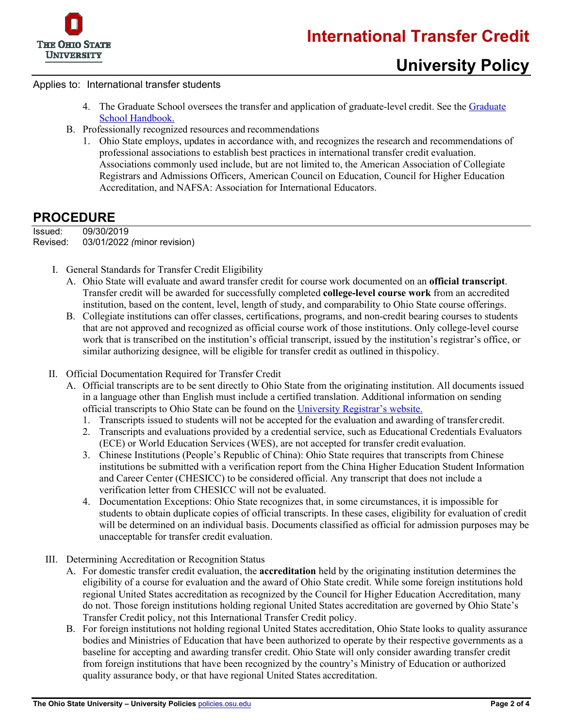

#### Applies to: International transfer students

- 4. The [Graduate](https://gradsch.osu.edu/handbook) School oversees the transfer and application of graduate-level credit. See the Graduate [School Handbook.](https://gradsch.osu.edu/handbook)
- B. Professionally recognized resources and recommendations
	- 1. Ohio State employs, updates in accordance with, and recognizes the research and recommendations of professional associations to establish best practices in international transfer credit evaluation. Associations commonly used include, but are not limited to, the American Association of Collegiate Registrars and Admissions Officers, American Council on Education, Council for Higher Education Accreditation, and NAFSA: Association for International Educators.

## **PROCEDURE**

Issued: 09/30/2019 Revised: 03/01/2022 *(*minor revision)

- I. General Standards for Transfer Credit Eligibility
	- A. Ohio State will evaluate and award transfer credit for course work documented on an **official transcript**. Transfer credit will be awarded for successfully completed **college-level course work** from an accredited institution, based on the content, level, length of study, and comparability to Ohio State course offerings.
	- B. Collegiate institutions can offer classes, certifications, programs, and non-credit bearing courses to students that are not approved and recognized as official course work of those institutions. Only college-level course work that is transcribed on the institution's official transcript, issued by the institution's registrar's office, or similar authorizing designee, will be eligible for transfer credit as outlined in this policy.

#### II. Official Documentation Required for Transfer Credit

- A. Official transcripts are to be sent directly to Ohio State from the originating institution. All documents issued in a language other than English must include a certified translation. Additional information on sending official transcripts to Ohio State can be found on the [University Registrar's website.](http://registrar.osu.edu/transfer_credit/index.asp)
	- 1. Transcripts issued to students will not be accepted for the evaluation and awarding of transfer credit.
	- 2. Transcripts and evaluations provided by a credential service, such as Educational Credentials Evaluators (ECE) or World Education Services (WES), are not accepted for transfer credit evaluation.
	- 3. Chinese Institutions (People's Republic of China): Ohio State requires that transcripts from Chinese institutions be submitted with a verification report from the China Higher Education Student Information and Career Center (CHESICC) to be considered official. Any transcript that does not include a verification letter from CHESICC will not be evaluated.
	- 4. Documentation Exceptions: Ohio State recognizes that, in some circumstances, it is impossible for students to obtain duplicate copies of official transcripts. In these cases, eligibility for evaluation of credit will be determined on an individual basis. Documents classified as official for admission purposes may be unacceptable for transfer credit evaluation.
- III. Determining Accreditation or Recognition Status
	- A. For domestic transfer credit evaluation, the **accreditation** held by the originating institution determines the eligibility of a course for evaluation and the award of Ohio State credit. While some foreign institutions hold regional United States accreditation as recognized by the Council for Higher Education Accreditation, many do not. Those foreign institutions holding regional United States accreditation are governed by Ohio State's [Transfer Credit policy,](https://go.osu.edu/transfer-credit-policy) not this International Transfer Credit policy.
	- B. For foreign institutions not holding regional United States accreditation, Ohio State looks to quality assurance bodies and Ministries of Education that have been authorized to operate by their respective governments as a baseline for accepting and awarding transfer credit. Ohio State will only consider awarding transfer credit from foreign institutions that have been recognized by the country's Ministry of Education or authorized quality assurance body, or that have regional United States accreditation.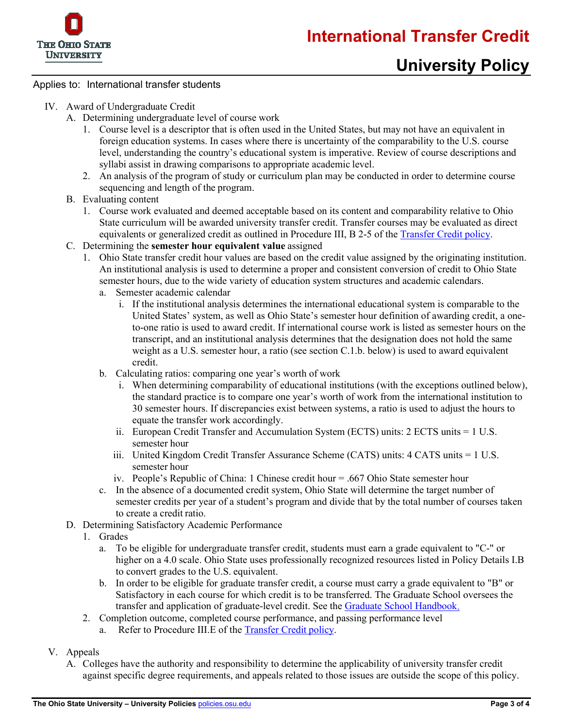



# **University Policy**

### Applies to: International transfer students

- IV. Award of Undergraduate Credit
	- A. Determining undergraduate level of course work
		- 1. Course level is a descriptor that is often used in the United States, but may not have an equivalent in foreign education systems. In cases where there is uncertainty of the comparability to the U.S. course level, understanding the country's educational system is imperative. Review of course descriptions and syllabi assist in drawing comparisons to appropriate academic level.
		- 2. An analysis of the program of study or curriculum plan may be conducted in order to determine course sequencing and length of the program.
	- B. Evaluating content
		- 1. Course work evaluated and deemed acceptable based on its content and comparability relative to Ohio State curriculum will be awarded university transfer credit. Transfer courses may be evaluated as direct equivalents or generalized credit as outlined in Procedure III, B 2-5 of the [Transfer Credit policy.](https://go.osu.edu/transfer-credit-policy)
	- C. Determining the **semester hour equivalent value** assigned
		- 1. Ohio State transfer credit hour values are based on the credit value assigned by the originating institution. An institutional analysis is used to determine a proper and consistent conversion of credit to Ohio State semester hours, due to the wide variety of education system structures and academic calendars.
			- a. Semester academic calendar
				- i. If the institutional analysis determines the international educational system is comparable to the United States' system, as well as Ohio State's semester hour definition of awarding credit, a oneto-one ratio is used to award credit. If international course work is listed as semester hours on the transcript, and an institutional analysis determines that the designation does not hold the same weight as a U.S. semester hour, a ratio (see section C.1.b. below) is used to award equivalent credit.
			- b. Calculating ratios: comparing one year's worth of work
				- i. When determining comparability of educational institutions (with the exceptions outlined below), the standard practice is to compare one year's worth of work from the international institution to 30 semester hours. If discrepancies exist between systems, a ratio is used to adjust the hours to equate the transfer work accordingly.
				- ii. European Credit Transfer and Accumulation System (ECTS) units: 2 ECTS units = 1 U.S. semester hour
				- iii. United Kingdom Credit Transfer Assurance Scheme (CATS) units: 4 CATS units = 1 U.S. semester hour
				- iv. People's Republic of China: 1 Chinese credit hour = .667 Ohio State semester hour
			- c. In the absence of a documented credit system, Ohio State will determine the target number of semester credits per year of a student's program and divide that by the total number of courses taken to create a credit ratio.
	- D. Determining Satisfactory Academic Performance
		- 1. Grades
			- a. To be eligible for undergraduate transfer credit, students must earn a grade equivalent to "C-" or higher on a 4.0 scale. Ohio State uses professionally recognized resources listed in Policy Details I.B to convert grades to the U.S. equivalent.
			- b. In order to be eligible for graduate transfer credit, a course must carry a grade equivalent to "B" or Satisfactory in each course for which credit is to be transferred. The Graduate School oversees the transfer and application of graduate-level credit. See the [Graduate School Handbook.](https://gradsch.osu.edu/handbook)
		- 2. Completion outcome, completed course performance, and passing performance level
			- a. Refer to Procedure III.E of the [Transfer Credit](https://go.osu.edu/transfer-credit-policy) policy.
- V. Appeals
	- A. Colleges have the authority and responsibility to determine the applicability of university transfer credit against specific degree requirements, and appeals related to those issues are outside the scope of this policy.